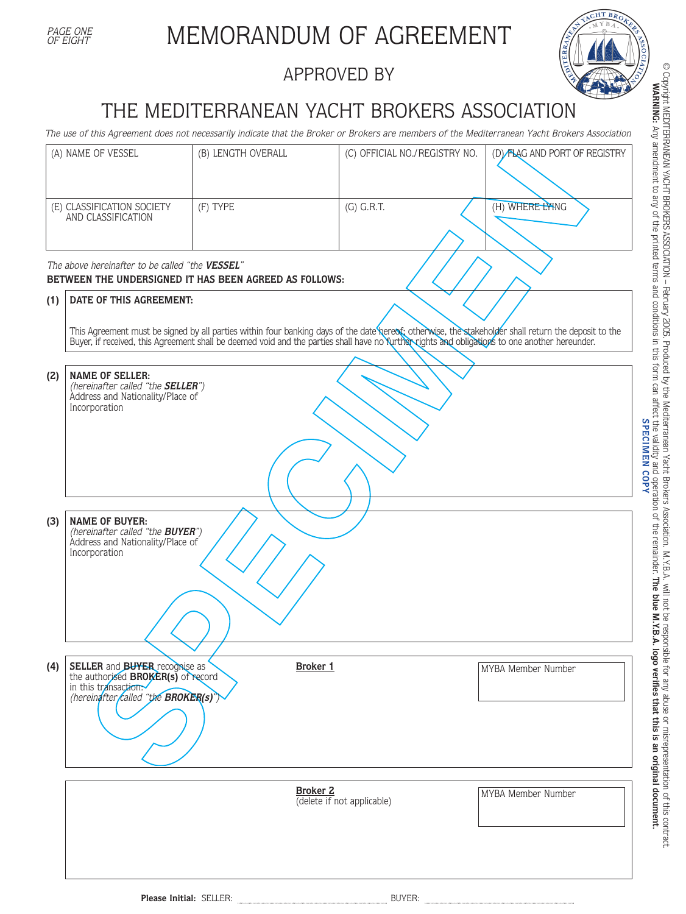



APPROVED BY

# THE MEDITERRANEAN YACHT BROKERS ASSOCIATION

The use of this Agreement does not necessarily indicate that the Broker or Brokers are members of the Mediterranean Yacht Brokers Association

|     | (A) NAME OF VESSEL                                                                                                                                                                                                                | (B) LENGTH OVERALL                                     | (C) OFFICIAL NO./REGISTRY NO.                 |  | (D) FLAG AND PORT OF REGISTRY |  |
|-----|-----------------------------------------------------------------------------------------------------------------------------------------------------------------------------------------------------------------------------------|--------------------------------------------------------|-----------------------------------------------|--|-------------------------------|--|
|     | (E) CLASSIFICATION SOCIETY<br>AND CLASSIFICATION                                                                                                                                                                                  | (F) TYPE                                               | $(G)$ G.R.T.                                  |  | (H) WHERE LYING               |  |
|     | The above hereinafter to be called "the VESSEL"                                                                                                                                                                                   | BETWEEN THE UNDERSIGNED IT HAS BEEN AGREED AS FOLLOWS: |                                               |  |                               |  |
| (1) | DATE OF THIS AGREEMENT:                                                                                                                                                                                                           |                                                        |                                               |  |                               |  |
|     | This Agreement must be signed by all parties within four banking days of the date hereof; otherwise, the stakeholder shall return the deposit to the<br>Buyer, if received, this Agreement shall be deemed void and the parties s |                                                        |                                               |  |                               |  |
| (2) | <b>NAME OF SELLER:</b><br>(hereinafter called "the SELLER")<br>Address and Nationality/Place of<br>Incorporation                                                                                                                  |                                                        |                                               |  |                               |  |
| (3) | <b>NAME OF BUYER:</b><br>(hereinafter called "the <b>BUYER</b> ")<br>Address and Nationality/Place of<br>Incorporation                                                                                                            |                                                        |                                               |  |                               |  |
| (4) | <b>SELLER and BUYER recognise as<br/>the authorised BROKER(s)</b> of record<br>in this transaction:<br>(hereinafter called "the BROKER(s)")                                                                                       |                                                        | Broker 1                                      |  | MYBA Member Number            |  |
|     |                                                                                                                                                                                                                                   |                                                        | <b>Broker 2</b><br>(delete if not applicable) |  | MYBA Member Number            |  |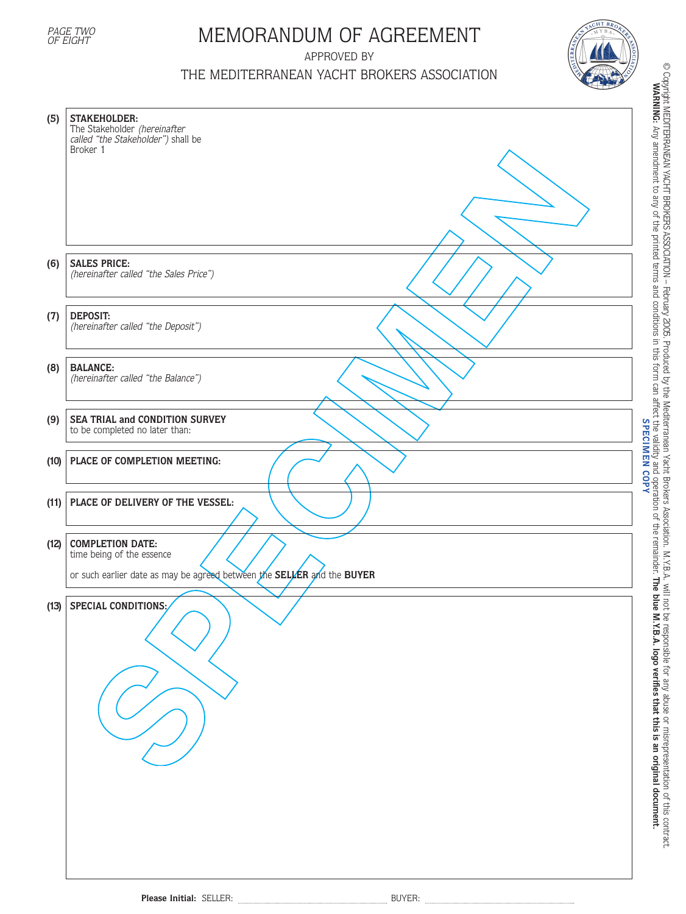PAGE TWO OF EIGHT

APPROVED BY

THE MEDITERRANEAN YACHT BROKERS ASSOCIATION



| (5)  | <b>STAKEHOLDER:</b><br>The Stakeholder (hereinafter<br>called "the Stakeholder") shall be |
|------|-------------------------------------------------------------------------------------------|
|      | Broker 1                                                                                  |
|      |                                                                                           |
|      |                                                                                           |
|      |                                                                                           |
|      |                                                                                           |
|      |                                                                                           |
| (6)  | <b>SALES PRICE:</b>                                                                       |
|      | (hereinafter called "the Sales Price")                                                    |
|      |                                                                                           |
| (7)  | <b>DEPOSIT:</b>                                                                           |
|      | (hereinafter called "the Deposit")                                                        |
|      |                                                                                           |
|      | <b>BALANCE:</b>                                                                           |
| (8)  | (hereinafter called "the Balance")                                                        |
|      |                                                                                           |
|      | SEA TRIAL and CONDITION SURVEY                                                            |
| (9)  | to be completed no later than:                                                            |
|      |                                                                                           |
| (10) | PLACE OF COMPLETION MEETING:                                                              |
|      |                                                                                           |
| (11) | PLACE OF DELIVERY OF THE VESSEL:                                                          |
|      |                                                                                           |
|      |                                                                                           |
| (12) | <b>COMPLETION DATE:</b><br>time being of the essence                                      |
|      |                                                                                           |
|      | or such earlier date as may be agreed between the SELUER and the BUYER                    |
|      | $(13)$ SPECIAL CONDITIONS:                                                                |
|      |                                                                                           |
|      |                                                                                           |
|      |                                                                                           |
|      |                                                                                           |
|      |                                                                                           |
|      |                                                                                           |
|      |                                                                                           |
|      |                                                                                           |
|      |                                                                                           |
|      |                                                                                           |
|      |                                                                                           |
|      |                                                                                           |
|      |                                                                                           |
|      |                                                                                           |
|      |                                                                                           |
|      |                                                                                           |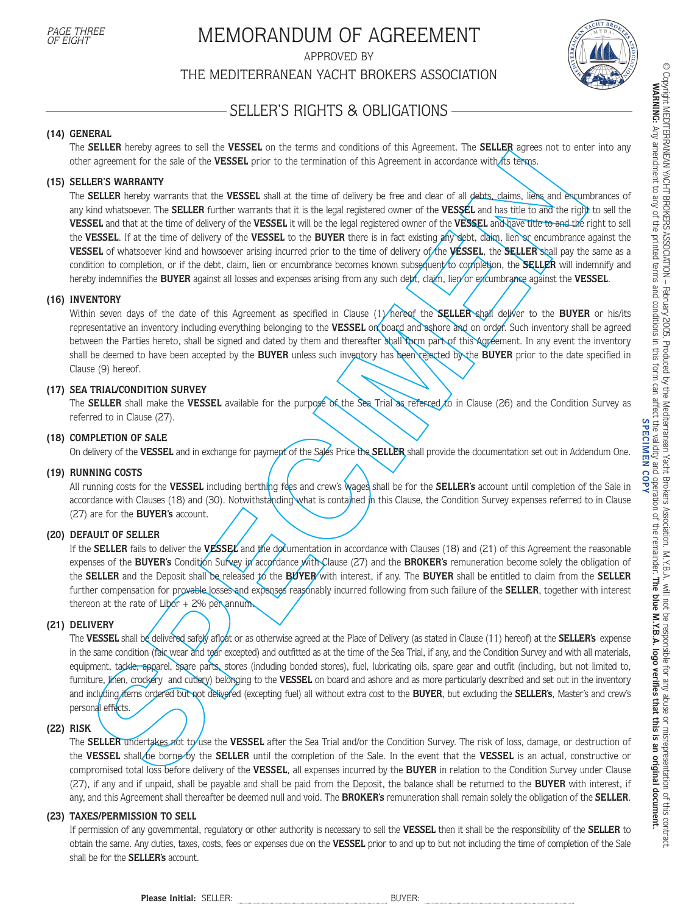APPROVED BY

### THE MEDITERRANEAN YACHT BROKERS ASSOCIATION

### SELLER'S RIGHTS & OBLIGATIONS

#### **(14) GENERAL**

The **SELLER** hereby agrees to sell the **VESSEL** on the terms and conditions of this Agreement. The **SELLER** agrees not to enter into any other agreement for the sale of the VESSEL prior to the termination of this Agreement in accordance with its terms.

#### **(15) SELLER'S WARRANTY**

The **SELLER** hereby warrants that the **VESSEL** shall at the time of delivery be free and clear of all debts, claims, liens and encumbrances of any kind whatsoever. The **SELLER** further warrants that it is the legal registered owner of the **VESSEL** and has title to and the right to sell the **VESSEL** and that at the time of delivery of the **VESSEL** it will be the legal registered owner of the **VESSEL** and have title to and the right to sell the **VESSEL**. If at the time of delivery of the **VESSEL** to the **BUYER** there is in fact existing any debt, claim, lien or encumbrance against the **VESSEL** of whatsoever kind and howsoever arising incurred prior to the time of delivery of the **VESSEL**, the **SELLER** shall pay the same as a condition to completion, or if the debt, claim, lien or encumbrance becomes known subsequent to completion, the **SELLER** will indemnify and hereby indemnifies the **BUYER** against all losses and expenses arising from any such debt, claim, lien or encumbrance against the **VESSEL**.

#### **(16) INVENTORY**

Within seven days of the date of this Agreement as specified in Clause (1) hereof the **SELLER** shall deliver to the **BUYER** or his/its representative an inventory including everything belonging to the **VESSEL** on board and ashore and on order. Such inventory shall be agreed between the Parties hereto, shall be signed and dated by them and thereafter shall form part of this Agreement. In any event the inventory shall be deemed to have been accepted by the **BUYER** unless such inventory has been rejected by the **BUYER** prior to the date specified in Clause (9) hereof.

#### **(17) SEA TRIAL/CONDITION SURVEY**

The **SELLER** shall make the VESSEL available for the purpose of the Sea Trial as referred to in Clause (26) and the Condition Survey as referred to in Clause (27).

#### **(18) COMPLETION OF SALE**

On delivery of the **VESSEL** and in exchange for payment of the Sales Price the **SELLER** shall provide the documentation set out in Addendum One.

#### **(19) RUNNING COSTS**

All running costs for the **VESSEL** including berthing fees and crew's wages shall be for the **SELLER's** account until completion of the Sale in accordance with Clauses (18) and (30). Notwithstanding what is contained in this Clause, the Condition Survey expenses referred to in Clause (27) are for the **BUYER's** account.

### **(20) DEFAULT OF SELLER**

If the **SELLER** fails to deliver the **VESSEL** and the documentation in accordance with Clauses (18) and (21) of this Agreement the reasonable expenses of the **BUYER's** Condition Survey in accordance with Clause (27) and the **BROKER's** remuneration become solely the obligation of the **SELLER** and the Deposit shall be released to the **BUYER** with interest, if any. The **BUYER** shall be entitled to claim from the **SELLER** further compensation for provable losses and expenses reasonably incurred following from such failure of the **SELLER**, together with interest thereon at the rate of Libor + 2% per annum.

#### **(21) DELIVERY**

The **VESSEL** shall be delivered safely afloat or as otherwise agreed at the Place of Delivery (as stated in Clause (11) hereof) at the **SELLER's** expense in the same condition (fair wear and tear excepted) and outfitted as at the time of the Sea Trial, if any, and the Condition Survey and with all materials, equipment, tackle, apparel, spare parts, stores (including bonded stores), fuel, lubricating oils, spare gear and outfit (including, but not limited to, furniture, linen, crockery and cutlery) belonging to the **VESSEL** on board and ashore and as more particularly described and set out in the inventory and including items ordered but not delivered (excepting fuel) all without extra cost to the **BUYER**, but excluding the **SELLER's**, Master's and crew's personal effects.

#### **(22) RISK**

The **SELLER** undertakes not to use the **VESSEL** after the Sea Trial and/or the Condition Survey. The risk of loss, damage, or destruction of the **VESSEL** shall be borne by the **SELLER** until the completion of the Sale. In the event that the **VESSEL** is an actual, constructive or compromised total loss before delivery of the **VESSEL**, all expenses incurred by the **BUYER** in relation to the Condition Survey under Clause (27), if any and if unpaid, shall be payable and shall be paid from the Deposit, the balance shall be returned to the **BUYER** with interest, if any, and this Agreement shall thereafter be deemed null and void. The **BROKER's** remuneration shall remain solely the obligation of the **SELLER**.

#### **(23) TAXES/PERMISSION TO SELL**

If permission of any governmental, regulatory or other authority is necessary to sell the **VESSEL** then it shall be the responsibility of the **SELLER** to obtain the same. Any duties, taxes, costs, fees or expenses due on the **VESSEL** prior to and up to but not including the time of completion of the Sale shall be for the **SELLER's** account.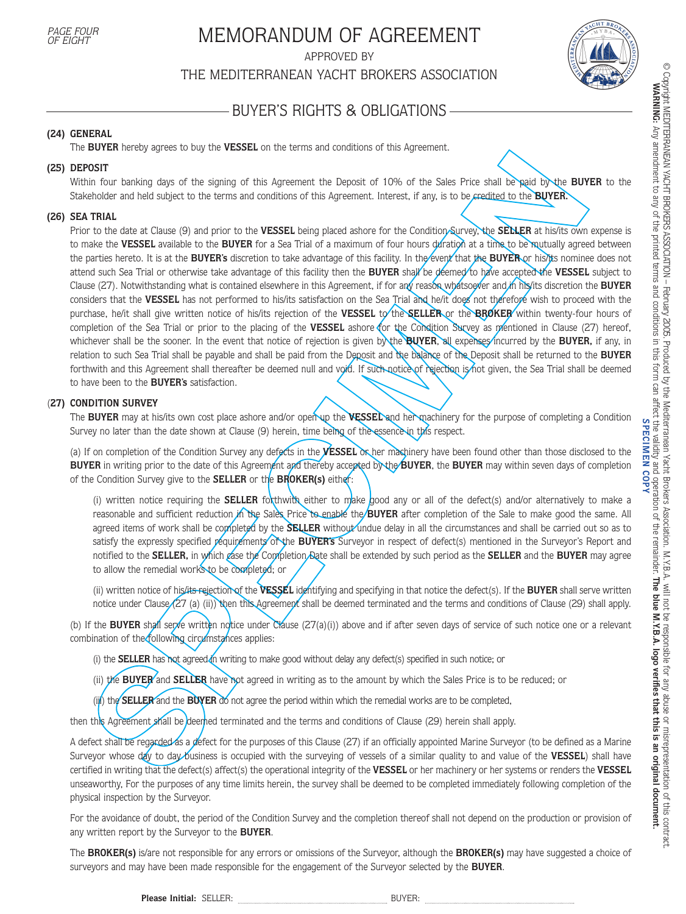

APPROVED BY



### THE MEDITERRANEAN YACHT BROKERS ASSOCIATION

### BUYER'S RIGHTS & OBLIGATIONS

#### **(24) GENERAL**

The **BUYER** hereby agrees to buy the **VESSEL** on the terms and conditions of this Agreement.

#### **(25) DEPOSIT**

Within four banking days of the signing of this Agreement the Deposit of 10% of the Sales Price shall be paid by the **BUYER** to the Stakeholder and held subject to the terms and conditions of this Agreement. Interest, if any, is to be credited to the **BUYER.**

#### **(26) SEA TRIAL**

Prior to the date at Clause (9) and prior to the **VESSEL** being placed ashore for the Condition Survey, the **SELLER** at his/its own expense is to make the **VESSEL** available to the **BUYER** for a Sea Trial of a maximum of four hours duration at a time to be mutually agreed between the parties hereto. It is at the **BUYER's** discretion to take advantage of this facility. In the event that the **BUYER** or his/its nominee does not attend such Sea Trial or otherwise take advantage of this facility then the **BUYER** shall be deemed to have accepted the **VESSEL** subject to Clause (27). Notwithstanding what is contained elsewhere in this Agreement, if for any reason whatsoever and in his/its discretion the **BUYER** considers that the **VESSEL** has not performed to his/its satisfaction on the Sea Trial and he/it does not therefore wish to proceed with the purchase, he/it shall give written notice of his/its rejection of the **VESSEL** to the **SELLER** or the **BROKER** within twenty-four hours of completion of the Sea Trial or prior to the placing of the **VESSEL** ashore for the Condition Survey as mentioned in Clause (27) hereof, whichever shall be the sooner. In the event that notice of rejection is given by the **BUYER**, all expenses incurred by the **BUYER,** if any, in relation to such Sea Trial shall be payable and shall be paid from the Deposit and the balance of the Deposit shall be returned to the **BUYER** forthwith and this Agreement shall thereafter be deemed null and void. If such notice of rejection is not given, the Sea Trial shall be deemed to have been to the **BUYER's** satisfaction.

#### (**27) CONDITION SURVEY**

The **BUYER** may at his/its own cost place ashore and/or open up the VESSEL and her machinery for the purpose of completing a Condition Survey no later than the date shown at Clause (9) herein, time being of the essence in this respect.

(a) If on completion of the Condition Survey any defects in the **VESSEL** or her machinery have been found other than those disclosed to the **BUYER** in writing prior to the date of this Agreement and thereby accepted by the **BUYER**, the **BUYER** may within seven days of completion of the Condition Survey give to the **SELLER** or the **BROKER(s)** either:

(i) written notice requiring the **SELLER** forthwith either to make good any or all of the defect(s) and/or alternatively to make a reasonable and sufficient reduction in the Sales Price to enable the **BUYER** after completion of the Sale to make good the same. All agreed items of work shall be completed by the **SELLER** without undue delay in all the circumstances and shall be carried out so as to satisfy the expressly specified *pequirements* of the **BUYER's** Surveyor in respect of defect(s) mentioned in the Surveyor's Report and notified to the **SELLER,** in which case the Completion Date shall be extended by such period as the **SELLER** and the **BUYER** may agree to allow the remedial works to be completed; or

(ii) written notice of his/its rejection of the **VESSEL** identifying and specifying in that notice the defect(s). If the **BUYER** shall serve written notice under Clause (27 (a) (ii)) then this Agreement shall be deemed terminated and the terms and conditions of Clause (29) shall apply.

(b) If the BUYER shall serve written notice under Clause (27(a)(i)) above and if after seven days of service of such notice one or a relevant combination of the following circumstances applies:

(i) the **SELLER** has not agreed in writing to make good without delay any defect(s) specified in such notice; or

(ii) the **BUYER** and **SELLER** have not agreed in writing as to the amount by which the Sales Price is to be reduced; or

(iii) the **SELLER** and the **BUYER** do not agree the period within which the remedial works are to be completed,

then this Agreement shall be deemed terminated and the terms and conditions of Clause (29) herein shall apply.

A defect shall be regarded as a defect for the purposes of this Clause (27) if an officially appointed Marine Surveyor (to be defined as a Marine Surveyor whose day to day business is occupied with the surveying of vessels of a similar quality to and value of the VESSEL) shall have certified in writing that the defect(s) affect(s) the operational integrity of the **VESSEL** or her machinery or her systems or renders the **VESSEL** unseaworthy, For the purposes of any time limits herein, the survey shall be deemed to be completed immediately following completion of the physical inspection by the Surveyor.

For the avoidance of doubt, the period of the Condition Survey and the completion thereof shall not depend on the production or provision of any written report by the Surveyor to the **BUYER**.

The **BROKER(s)** is/are not responsible for any errors or omissions of the Surveyor, although the **BROKER(s)** may have suggested a choice of surveyors and may have been made responsible for the engagement of the Surveyor selected by the **BUYER**.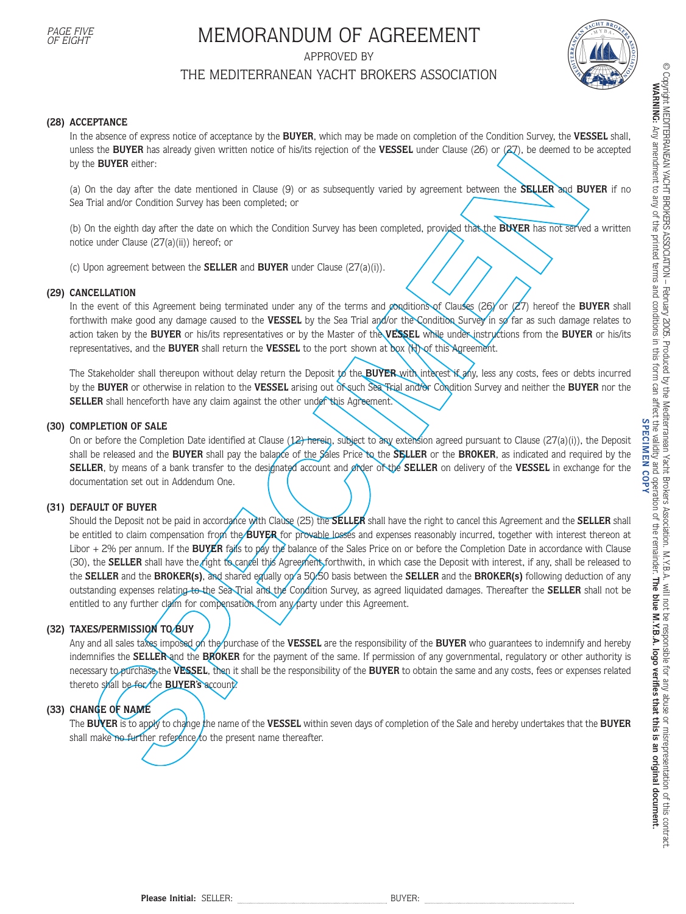PAGE FIVE

APPROVED BY



### THE MEDITERRANEAN YACHT BROKERS ASSOCIATION

#### **(28) ACCEPTANCE**

In the absence of express notice of acceptance by the **BUYER**, which may be made on completion of the Condition Survey, the **VESSEL** shall, unless the **BUYER** has already given written notice of his/its rejection of the **VESSEL** under Clause (26) or (27), be deemed to be accepted by the **BUYER** either:

(a) On the day after the date mentioned in Clause (9) or as subsequently varied by agreement between the **SELLER** and **BUYER** if no Sea Trial and/or Condition Survey has been completed; or

(b) On the eighth day after the date on which the Condition Survey has been completed, provided that the **BUYER** has not served a written notice under Clause (27(a)(ii)) hereof; or

(c) Upon agreement between the **SELLER** and **BUYER** under Clause (27(a)(i)).

#### **(29) CANCELLATION**

In the event of this Agreement being terminated under any of the terms and conditions of Clauses (26) or (27) hereof the **BUYER** shall forthwith make good any damage caused to the **VESSEL** by the Sea Trial and/or the Condition Survey in so far as such damage relates to action taken by the **BUYER** or his/its representatives or by the Master of the **VESSEL** while under instructions from the **BUYER** or his/its representatives, and the **BUYER** shall return the **VESSEL** to the port shown at box (H) of this Agreement.

The Stakeholder shall thereupon without delay return the Deposit to the **BUYER** with interest if any, less any costs, fees or debts incurred by the **BUYER** or otherwise in relation to the **VESSEL** arising out of such Sea Trial and/or Condition Survey and neither the **BUYER** nor the **SELLER** shall henceforth have any claim against the other under this Agreement.

#### **(30) COMPLETION OF SALE**

On or before the Completion Date identified at Clause  $(12)$  herein, subject to any extension agreed pursuant to Clause  $(27(a)(i))$ , the Deposit shall be released and the **BUYER** shall pay the balance of the Sales Price to the **SELLER** or the **BROKER**, as indicated and required by the SELLER, by means of a bank transfer to the designated account and order of the SELLER on delivery of the VESSEL in exchange for the documentation set out in Addendum One.

#### **(31) DEFAULT OF BUYER**

Should the Deposit not be paid in accordance with Clause (25) the **SELLER** shall have the right to cancel this Agreement and the **SELLER** shall be entitled to claim compensation from the **BUYER** for provable losses and expenses reasonably incurred, together with interest thereon at Libor + 2% per annum. If the **BUYER** fails to pay the balance of the Sales Price on or before the Completion Date in accordance with Clause (30), the **SELLER** shall have the right to cancel this Agreement forthwith, in which case the Deposit with interest, if any, shall be released to the **SELLER** and the **BROKER(s)**, and shared equally on a 50:50 basis between the **SELLER** and the **BROKER(s)** following deduction of any outstanding expenses relating to the Sea Trial and the Condition Survey, as agreed liquidated damages. Thereafter the **SELLER** shall not be entitled to any further claim for compensation from any party under this Agreement.

#### **(32) TAXES/PERMISSION TO BUY**

Any and all sales taxes imposed on the purchase of the **VESSEL** are the responsibility of the **BUYER** who guarantees to indemnify and hereby indemnifies the **SELLER** and the **BROKER** for the payment of the same. If permission of any governmental, regulatory or other authority is necessary to purchase the **VESSEL**, then it shall be the responsibility of the **BUYER** to obtain the same and any costs, fees or expenses related thereto shall be for the **BUYER's** account?

#### **(33) CHANGE OF NAME**

The **BUYER** is to apply to change the name of the **VESSEL** within seven days of completion of the Sale and hereby undertakes that the **BUYER** shall make no further reference to the present name thereafter.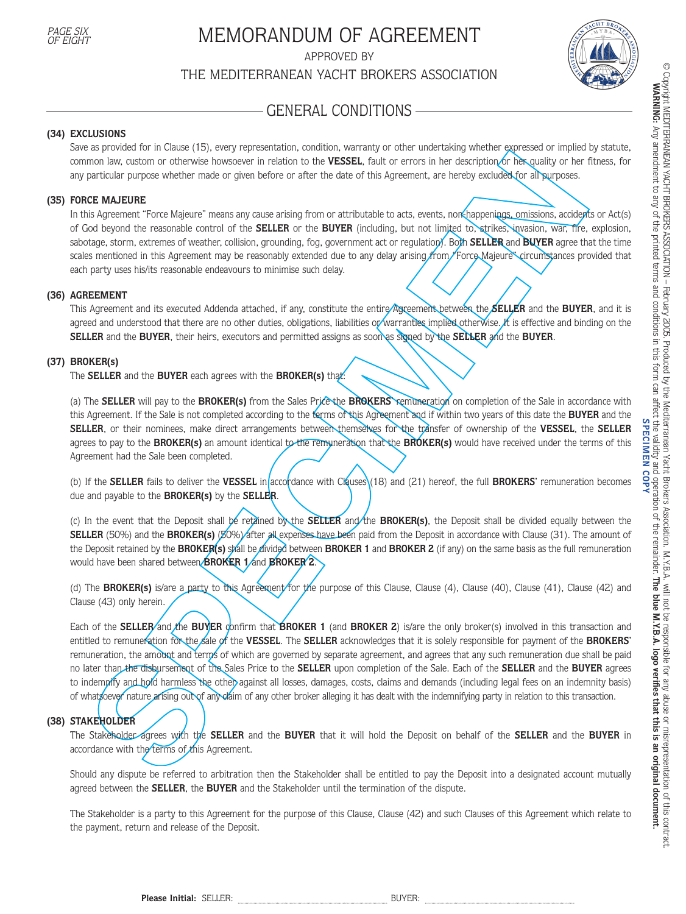PAGE SIX

APPROVED BY



THE MEDITERRANEAN YACHT BROKERS ASSOCIATION

### GENERAL CONDITIONS

#### **(34) EXCLUSIONS**

Save as provided for in Clause (15), every representation, condition, warranty or other undertaking whether expressed or implied by statute, common law, custom or otherwise howsoever in relation to the **VESSEL**, fault or errors in her description or her quality or her fitness, for any particular purpose whether made or given before or after the date of this Agreement, are hereby excluded for all purposes.

#### **(35) FORCE MAJEURE**

In this Agreement "Force Majeure" means any cause arising from or attributable to acts, events, non-happenings, omissions, accidents or Act(s) of God beyond the reasonable control of the **SELLER** or the **BUYER** (including, but not limited to, strikes, invasion, war, fire, explosion, sabotage, storm, extremes of weather, collision, grounding, fog, government act or regulation). Both **SELLER** and **BUYER** agree that the time scales mentioned in this Agreement may be reasonably extended due to any delay arising from "Force Majeure" circumstances provided that each party uses his/its reasonable endeavours to minimise such delay.

#### **(36) AGREEMENT**

This Agreement and its executed Addenda attached, if any, constitute the entire Agreement between the **SELLER** and the **BUYER**, and it is agreed and understood that there are no other duties, obligations, liabilities or warranties implied otherwise. It is effective and binding on the **SELLER** and the **BUYER**, their heirs, executors and permitted assigns as soon as signed by the **SELLER** and the **BUYER**.

#### **(37) BROKER(s)**

The **SELLER** and the **BUYER** each agrees with the **BROKER(s)** that:

(a) The **SELLER** will pay to the **BROKER(s)** from the Sales Price the **BROKERS**' remuneration on completion of the Sale in accordance with this Agreement. If the Sale is not completed according to the terms of this Agreement and if within two years of this date the **BUYER** and the **SELLER**, or their nominees, make direct arrangements between themselves for the transfer of ownership of the **VESSEL**, the **SELLER** agrees to pay to the **BROKER(s)** an amount identical to the remuneration that the **BROKER(s)** would have received under the terms of this Agreement had the Sale been completed.

(b) If the **SELLER** fails to deliver the **VESSEL** in accordance with Clauses (18) and (21) hereof, the full **BROKERS'** remuneration becomes due and payable to the **BROKER(s)** by the **SELLER**.

(c) In the event that the Deposit shall be retained by the **SELLER** and the **BROKER(s)**, the Deposit shall be divided equally between the **SELLER** (50%) and the **BROKER(s)** (50%) after all expenses have been paid from the Deposit in accordance with Clause (31). The amount of the Deposit retained by the **BROKER(s)** shall be divided between **BROKER 1** and **BROKER 2** (if any) on the same basis as the full remuneration would have been shared between **BROKER 1/and BROKER 2** 

(d) The BROKER(s) is/are a party to this Agreement/for the purpose of this Clause, Clause (4), Clause (40), Clause (41), Clause (42) and Clause (43) only herein.

Each of the **SELLER** and the **BUYER** confirm that **BROKER 1** (and **BROKER 2**) is/are the only broker(s) involved in this transaction and entitled to remuneration for the sale of the **VESSEL**. The **SELLER** acknowledges that it is solely responsible for payment of the **BROKERS'** remuneration, the amount and terms of which are governed by separate agreement, and agrees that any such remuneration due shall be paid no later than the disbursement of the Sales Price to the **SELLER** upon completion of the Sale. Each of the **SELLER** and the **BUYER** agrees to indempify and hold harmless the other against all losses, damages, costs, claims and demands (including legal fees on an indemnity basis) of whatsoever nature arising out of any claim of any other broker alleging it has dealt with the indemnifying party in relation to this transaction.

#### **(38) STAKEHOLDER**

The Stakeholder agrees with the **SELLER** and the **BUYER** that it will hold the Deposit on behalf of the **SELLER** and the **BUYER** in accordance with the terms of this Agreement.

Should any dispute be referred to arbitration then the Stakeholder shall be entitled to pay the Deposit into a designated account mutually agreed between the **SELLER**, the **BUYER** and the Stakeholder until the termination of the dispute.

The Stakeholder is a party to this Agreement for the purpose of this Clause, Clause (42) and such Clauses of this Agreement which relate to the payment, return and release of the Deposit.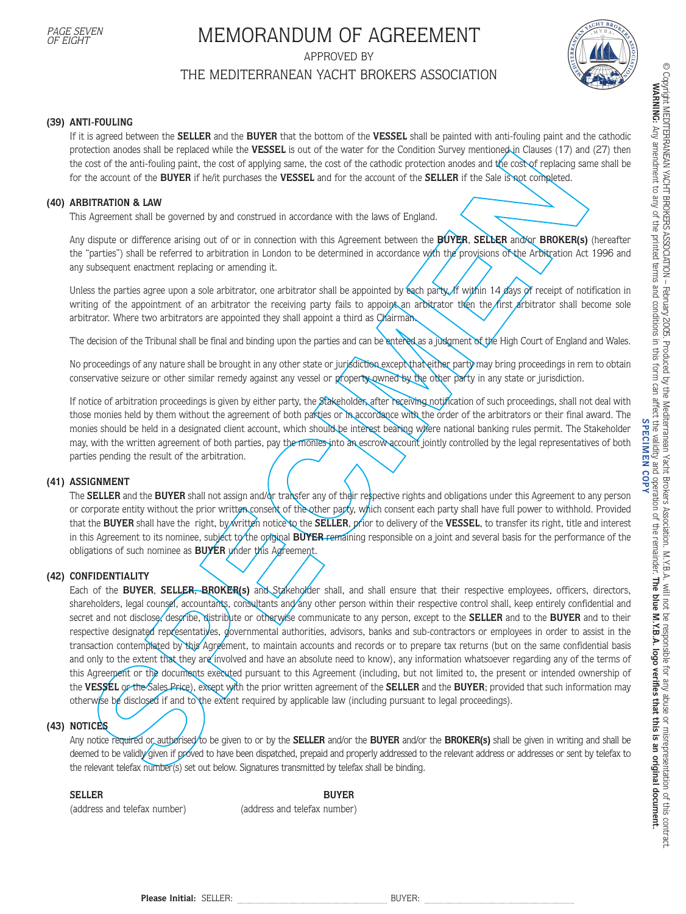

# GE SEVEN<br>EIGHT

APPROVED BY



### THE MEDITERRANEAN YACHT BROKERS ASSOCIATION

#### **(39) ANTI-FOULING**

If it is agreed between the **SELLER** and the **BUYER** that the bottom of the **VESSEL** shall be painted with anti-fouling paint and the cathodic protection anodes shall be replaced while the **VESSEL** is out of the water for the Condition Survey mentioned in Clauses (17) and (27) then the cost of the anti-fouling paint, the cost of applying same, the cost of the cathodic protection anodes and the cost of replacing same shall be for the account of the **BUYER** if he/it purchases the **VESSEL** and for the account of the **SELLER** if the Sale is not completed.

#### **(40) ARBITRATION & LAW**

This Agreement shall be governed by and construed in accordance with the laws of England.

Any dispute or difference arising out of or in connection with this Agreement between the **BUYER**, **SELLER** and/or **BROKER(s)** (hereafter the "parties") shall be referred to arbitration in London to be determined in accordance with the provisions of the Arbitration Act 1996 and any subsequent enactment replacing or amending it.

Unless the parties agree upon a sole arbitrator, one arbitrator shall be appointed by each party. If within 14 days of receipt of notification in writing of the appointment of an arbitrator the receiving party fails to appoint an arbitrator then the first arbitrator shall become sole arbitrator. Where two arbitrators are appointed they shall appoint a third as Chairman

The decision of the Tribunal shall be final and binding upon the parties and can be entered as a judgment of the High Court of England and Wales.

No proceedings of any nature shall be brought in any other state or jurisdiction except that either party may bring proceedings in rem to obtain conservative seizure or other similar remedy against any vessel or property owned by the other party in any state or jurisdiction.

If notice of arbitration proceedings is given by either party, the Stakeholder, after receiving notification of such proceedings, shall not deal with those monies held by them without the agreement of both parties or in accordance with the order of the arbitrators or their final award. The monies should be held in a designated client account, which should be interest bearing where national banking rules permit. The Stakeholder may, with the written agreement of both parties, pay the monies into an escrow account jointly controlled by the legal representatives of both parties pending the result of the arbitration.

#### **(41) ASSIGNMENT**

The **SELLER** and the **BUYER** shall not assign and/or transfer any of their respective rights and obligations under this Agreement to any person or corporate entity without the prior written consent of the other party, which consent each party shall have full power to withhold. Provided that the **BUYER** shall have the right, by written notice to the **SELLER**, prior to delivery of the **VESSEL**, to transfer its right, title and interest in this Agreement to its nominee, subject to the original **BUYER** remaining responsible on a joint and several basis for the performance of the obligations of such nominee as **BUYER** under this Agreement.

#### **(42) CONFIDENTIALITY**

Each of the **BUYER**, **SELLER**, **BROKER(s)** and Stakeholder shall, and shall ensure that their respective employees, officers, directors, shareholders, legal counsel, accountants, consultants and any other person within their respective control shall, keep entirely confidential and secret and not disclose, describe, distribute or otherwise communicate to any person, except to the **SELLER** and to the **BUYER** and to their respective designated representatives, governmental authorities, advisors, banks and sub-contractors or employees in order to assist in the transaction contemplated by this Agreement, to maintain accounts and records or to prepare tax returns (but on the same confidential basis and only to the extent that they are involved and have an absolute need to know), any information whatsoever regarding any of the terms of this Agreement or the documents executed pursuant to this Agreement (including, but not limited to, the present or intended ownership of the **VESSEL** or the Sales Price), except with the prior written agreement of the **SELLER** and the **BUYER**; provided that such information may otherwise be disclosed if and to the extent required by applicable law (including pursuant to legal proceedings).

#### **(43) NOTICES**

Any notice required or authorised to be given to or by the **SELLER** and/or the **BUYER** and/or the **BROKER(s)** shall be given in writing and shall be deemed to be validly given if proved to have been dispatched, prepaid and properly addressed to the relevant address or addresses or sent by telefax to the relevant telefax number(s) set out below. Signatures transmitted by telefax shall be binding.

(address and telefax number) (address and telefax number)

**SELLER BUYER**